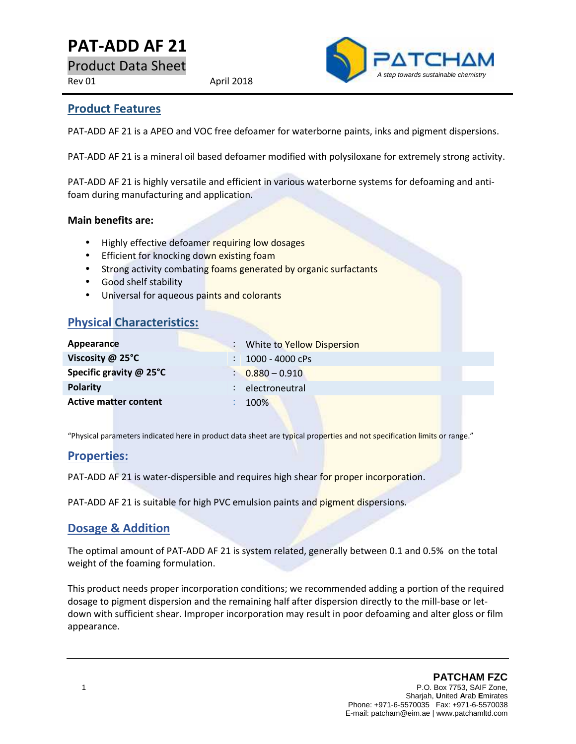# **PAT-ADD AF21**

Product Data Sheet

Rev 01 April 2018



### **Product Features**

PAT-ADD AF 21 is a APEO and VOC free defoamer for waterborne paints, inks and pigment dispersions.

PAT-ADD AF 21 is a mineral oil based defoamer modified with polysiloxane for extremely strong activity.

PAT-ADD AF 21 is highly versatile and efficient in various waterborne systems for defoaming and antifoam during manufacturing and application.

#### **Main benefits are:**

- Highly effective defoamer requiring low dosages
- **•** Efficient for knocking down existing foam
- **•** Strong activity combating foams generated by organic surfactants
- Good shelf stability
- Universal for aqueous paints and colorants

### **Physical Characteristics:**

| Appearance                   | ÷ | White to Yellow Dispersion  |
|------------------------------|---|-----------------------------|
| Viscosity $@$ 25 $°C$        |   | 1000 - 4000 cPs             |
| Specific gravity @ 25°C      |   | $\frac{1}{2}$ 0.880 - 0.910 |
| <b>Polarity</b>              |   | electroneutral              |
| <b>Active matter content</b> |   | 100%                        |
|                              |   |                             |

"Physical parameters indicated here in product data sheet are typical properties and not specification limits or range."

### **Properties:**

PAT-ADD AF 21 is water-dispersible and requires high shear for proper incorporation.

PAT-ADD AF 21 is suitable for high PVC emulsion paints and pigment dispersions.

### **Dosage & Addition**

The optimal amount of PAT-ADD AF 21 is system related, generally between 0.1 and 0.5% on the total weight of the foaming formulation.

This product needs proper incorporation conditions; we recommended adding a portion of the required dosage to pigment dispersion and the remaining half after dispersion directly to the mill-base or let down with sufficient shear. Improper incorporation may result in poor defoaming and alter gloss or film appearance.